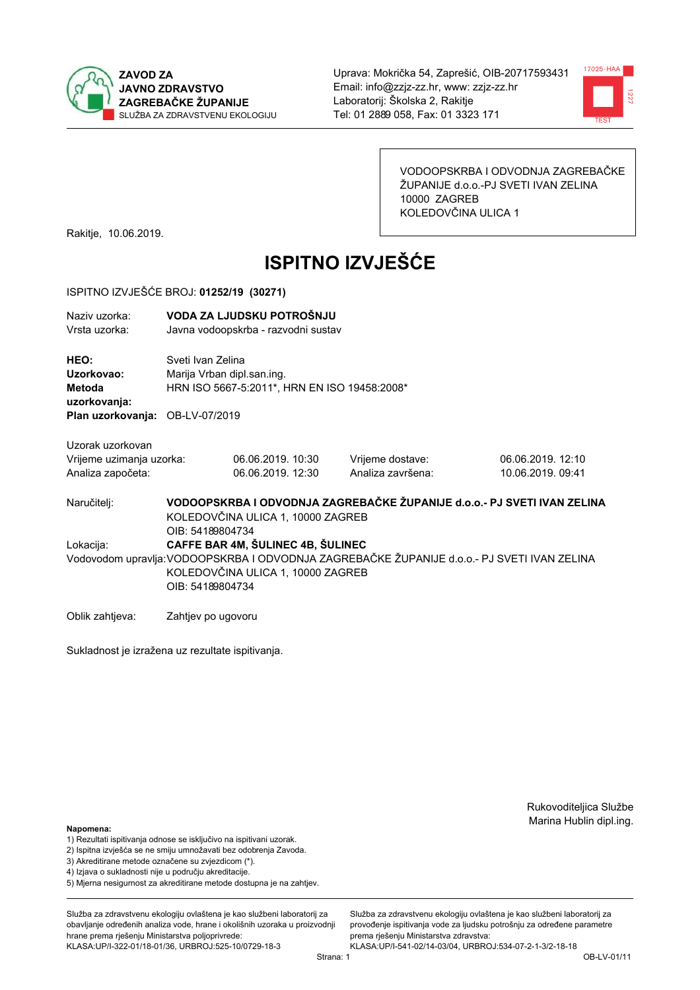



VODOOPSKRBA I ODVODNJA ZAGREBAČKE ŽUPANIJE d.o.o.-PJ SVETI IVAN ZELINA 10000 ZAGREB KOLEDOVČINA ULICA 1

Rakitje, 10.06.2019.

# **ISPITNO IZVJEŠĆE**

#### ISPITNO IZVJEŠĆE BROJ: 01252/19 (30271)

| Naziv uzorka:<br>Vrsta uzorka:               |                    | VODA ZA LJUDSKU POTROŠNJU<br>Javna vodoopskrba - razvodni sustav                                |                   |                                                                                             |  |  |
|----------------------------------------------|--------------------|-------------------------------------------------------------------------------------------------|-------------------|---------------------------------------------------------------------------------------------|--|--|
| HEO:<br>Uzorkovao:<br>Metoda<br>uzorkovanja: |                    | Sveti Ivan Zelina<br>Marija Vrban dipl.san.ing.<br>HRN ISO 5667-5:2011*, HRN EN ISO 19458:2008* |                   |                                                                                             |  |  |
| Plan uzorkovanja: OB-LV-07/2019              |                    |                                                                                                 |                   |                                                                                             |  |  |
| Uzorak uzorkovan                             |                    |                                                                                                 |                   |                                                                                             |  |  |
| Vrijeme uzimanja uzorka:                     |                    | 06.06.2019. 10:30                                                                               | Vrijeme dostave:  | 06.06.2019. 12:10                                                                           |  |  |
| Analiza započeta:                            |                    | 06.06.2019. 12:30                                                                               | Analiza završena: | 10.06.2019. 09:41                                                                           |  |  |
| Naručitelj:                                  | OIB: 54189804734   | KOLEDOVČINA ULICA 1, 10000 ZAGREB                                                               |                   | VODOOPSKRBA I ODVODNJA ZAGREBAČKE ŽUPANIJE d.o.o.- PJ SVETI IVAN ZELINA                     |  |  |
| Lokacija:                                    |                    | CAFFE BAR 4M, ŠULINEC 4B, ŠULINEC                                                               |                   |                                                                                             |  |  |
|                                              |                    |                                                                                                 |                   | Vodovodom upravlja: VODOOPSKRBA I ODVODNJA ZAGREBAČKE ŽUPANIJE d.o.o.- PJ SVETI IVAN ZELINA |  |  |
|                                              |                    | KOLEDOVČINA ULICA 1, 10000 ZAGREB                                                               |                   |                                                                                             |  |  |
|                                              | OIB: 54189804734   |                                                                                                 |                   |                                                                                             |  |  |
| Oblik zahtjeva:                              | Zahtjev po ugovoru |                                                                                                 |                   |                                                                                             |  |  |

Sukladnost je izražena uz rezultate ispitivanja.

Rukovoditeljica Službe Marina Hublin dipl.ing.

#### Napomena:

- 1) Rezultati ispitivanja odnose se isključivo na ispitivani uzorak.
- 2) Ispitna izvješća se ne smiju umnožavati bez odobrenja Zavoda.
- 3) Akreditirane metode označene su zvjezdicom (\*).
- 4) Iziava o sukladnosti nije u području akreditacije.
- 5) Mjerna nesigurnost za akreditirane metode dostupna je na zahtjev.

Služba za zdravstvenu ekologiju ovlaštena je kao službeni laboratorij za obavlianie određenih analiza vode, hrane i okolišnih uzoraka u proizvodniji hrane prema rješenju Ministarstva poljoprivrede: KLASA:UP/I-322-01/18-01/36, URBROJ:525-10/0729-18-3

Služba za zdravstvenu ekologiju ovlaštena je kao službeni laboratorij za provođenie ispitivania vode za liudsku potrošniu za određene parametre prema rješenju Ministarstva zdravstva:

KLASA:UP/I-541-02/14-03/04, URBROJ:534-07-2-1-3/2-18-18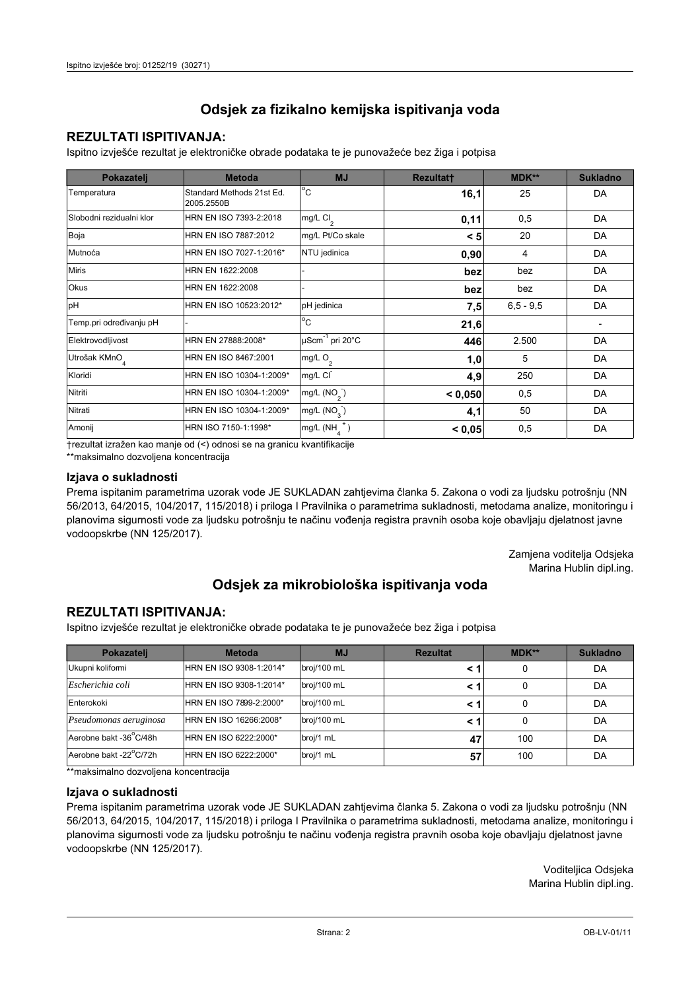## **REZULTATI ISPITIVANJA:**

Ispitno izviešće rezultat je elektroničke obrade podataka te je punovažeće bez žiga i potpisa

| Pokazatelj                | <b>Metoda</b>                           | <b>MJ</b>               | <b>Rezultatt</b> | <b>MDK**</b>  | <b>Sukladno</b> |
|---------------------------|-----------------------------------------|-------------------------|------------------|---------------|-----------------|
| Temperatura               | Standard Methods 21st Ed.<br>2005.2550B | $^{\circ}$ C            | 16,1             | 25            | DA              |
| Slobodni rezidualni klor  | HRN EN ISO 7393-2:2018                  | $mg/L$ Cl <sub>2</sub>  | 0,11             | 0,5           | DA              |
| Boja                      | HRN EN ISO 7887:2012                    | mg/L Pt/Co skale        | < 5              | 20            | DA              |
| Mutnoća                   | HRN EN ISO 7027-1:2016*                 | NTU jedinica            | 0,90             | 4             | DA              |
| <b>Miris</b>              | HRN EN 1622:2008                        |                         | bez              | bez           | DA              |
| Okus                      | HRN EN 1622:2008                        |                         | bez              | bez           | DA              |
| pH                        | HRN EN ISO 10523:2012*                  | pH jedinica             | 7,5              | $6, 5 - 9, 5$ | DA              |
| Temp.pri određivanju pH   |                                         | $^{\circ}$ C            | 21,6             |               |                 |
| Elektrovodljivost         | HRN EN 27888:2008*                      | µScm-1 pri 20°C         | 446              | 2.500         | DA              |
| Utrošak KMnO <sub>4</sub> | HRN EN ISO 8467:2001                    | mg/L O <sub>2</sub>     | 1,0              | 5             | DA              |
| Kloridi                   | HRN EN ISO 10304-1:2009*                | mg/L CI                 | 4,9              | 250           | DA              |
| Nitriti                   | HRN EN ISO 10304-1:2009*                | mg/L $(NO2)$            | < 0.050          | 0,5           | DA              |
| Nitrati                   | HRN EN ISO 10304-1:2009*                | mg/L (NO <sub>3</sub> ) | 4,1              | 50            | DA              |
| Amonij                    | HRN ISO 7150-1:1998*                    | mg/L (NH                | < 0,05           | 0,5           | DA              |

trezultat izražen kao manje od (<) odnosi se na granicu kvantifikacije

\*\*maksimalno dozvoljena koncentracija

#### Izjava o sukladnosti

Prema ispitanim parametrima uzorak vode JE SUKLADAN zahtievima članka 5. Zakona o vodi za ljudsku potrošnju (NN 56/2013, 64/2015, 104/2017, 115/2018) i priloga I Pravilnika o parametrima sukladnosti, metodama analize, monitoringu i planovima sigurnosti vode za ljudsku potrošnju te načinu vođenja registra pravnih osoba koje obavljaju djelatnost javne vodoopskrbe (NN 125/2017).

> Zamjena voditelja Odsjeka Marina Hublin dipl.ing.

## Odsjek za mikrobiološka ispitivanja voda

## **REZULTATI ISPITIVANJA:**

Ispitno izvješće rezultat je elektroničke obrade podataka te je punovažeće bez žiga i potpisa

| Pokazatelj             | <b>Metoda</b>           | <b>MJ</b>   | <b>Rezultat</b> | $MDK**$ | <b>Sukladno</b> |
|------------------------|-------------------------|-------------|-----------------|---------|-----------------|
| Ukupni kolifomi        | HRN EN ISO 9308-1:2014* | broj/100 mL |                 | 0       | DA              |
| Escherichia coli       | HRN EN ISO 9308-1:2014* | broj/100 mL |                 | 0       | DA              |
| Enterokoki             | HRN EN ISO 7899-2:2000* | broj/100 mL |                 | 0       | DA              |
| Pseudomonas aeruginosa | HRN EN ISO 16266:2008*  | broj/100 mL | < 1             | 0       | DA              |
| Aerobne bakt -36 C/48h | HRN EN ISO 6222:2000*   | broj/1 mL   | 47              | 100     | DA              |
| Aerobne bakt -22°C/72h | HRN EN ISO 6222:2000*   | broj/1 mL   | 57              | 100     | DA              |

\*\*maksimalno dozvoljena koncentracija

#### Izjava o sukladnosti

Prema ispitanim parametrima uzorak vode JE SUKLADAN zahtjevima članka 5. Zakona o vodi za ljudsku potrošnju (NN 56/2013, 64/2015, 104/2017, 115/2018) i priloga I Pravilnika o parametrima sukladnosti, metodama analize, monitoringu i planovima sigurnosti vode za ljudsku potrošnju te načinu vođenja registra pravnih osoba koje obavljaju djelatnost javne vodoopskrbe (NN 125/2017).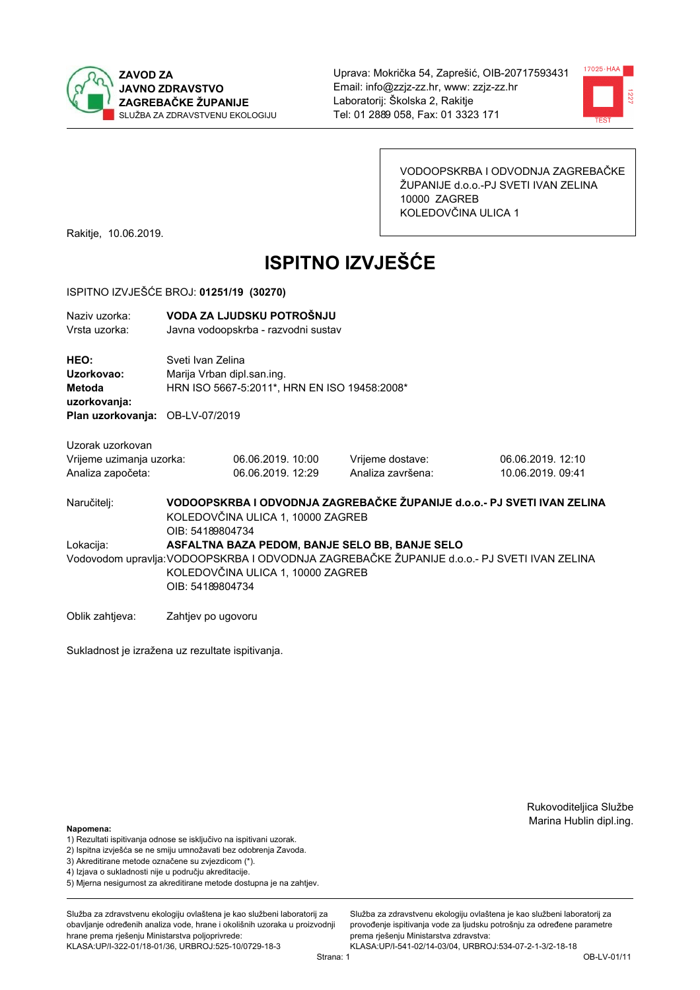



VODOOPSKRBA I ODVODNJA ZAGREBAČKE ŽUPANIJE d.o.o.-PJ SVETI IVAN ZELINA 10000 ZAGREB KOLEDOVČINA ULICA 1

Rakitje, 10.06.2019.

# **ISPITNO IZVJEŠĆE**

#### ISPITNO IZVJEŠĆE BROJ: 01251/19 (30270)

| Naziv uzorka:<br>Vrsta uzorka:                                                  |                    | VODA ZA LJUDSKU POTROŠNJU<br>Javna vodoopskrba - razvodni sustav                                |                                                |                                                                                             |  |  |
|---------------------------------------------------------------------------------|--------------------|-------------------------------------------------------------------------------------------------|------------------------------------------------|---------------------------------------------------------------------------------------------|--|--|
| HEO:<br>Uzorkovao:<br>Metoda<br>uzorkovanja:<br>Plan uzorkovanja: OB-LV-07/2019 |                    | Sveti Ivan Zelina<br>Marija Vrban dipl.san.ing.<br>HRN ISO 5667-5:2011*, HRN EN ISO 19458:2008* |                                                |                                                                                             |  |  |
|                                                                                 |                    |                                                                                                 |                                                |                                                                                             |  |  |
| Uzorak uzorkovan                                                                |                    |                                                                                                 |                                                |                                                                                             |  |  |
| Vrijeme uzimanja uzorka:                                                        |                    | 06.06.2019. 10:00                                                                               | Vrijeme dostave:                               | 06.06.2019.12:10                                                                            |  |  |
| Analiza započeta:                                                               |                    | 06.06.2019. 12:29                                                                               | Analiza završena:                              | 10.06.2019. 09:41                                                                           |  |  |
| Naručitelj:                                                                     | OIB: 54189804734   | KOLEDOVČINA ULICA 1, 10000 ZAGREB                                                               |                                                | VODOOPSKRBA I ODVODNJA ZAGREBAČKE ŽUPANIJE d.o.o.- PJ SVETI IVAN ZELINA                     |  |  |
| Lokacija:                                                                       |                    |                                                                                                 | ASFALTNA BAZA PEDOM, BANJE SELO BB, BANJE SELO |                                                                                             |  |  |
|                                                                                 | OIB: 54189804734   | KOLEDOVČINA ULICA 1, 10000 ZAGREB                                                               |                                                | Vodovodom upravlja: VODOOPSKRBA I ODVODNJA ZAGREBAČKE ŽUPANIJE d.o.o.- PJ SVETI IVAN ZELINA |  |  |
| Oblik zahtjeva:                                                                 | Zahtjev po ugovoru |                                                                                                 |                                                |                                                                                             |  |  |

Sukladnost je izražena uz rezultate ispitivanja.

Rukovoditeljica Službe Marina Hublin dipl.ing.

#### Napomena:

- 1) Rezultati ispitivanja odnose se isključivo na ispitivani uzorak.
- 2) Ispitna izvješća se ne smiju umnožavati bez odobrenja Zavoda.
- 3) Akreditirane metode označene su zvjezdicom (\*).
- 4) Iziava o sukladnosti nije u područiu akreditacije.
- 5) Mjerna nesigurnost za akreditirane metode dostupna je na zahtjev.

Služba za zdravstvenu ekologiju ovlaštena je kao službeni laboratorij za obavljanje određenih analiza vode, hrane i okolišnih uzoraka u proizvodniji hrane prema rješenju Ministarstva poljoprivrede: KLASA:UP/I-322-01/18-01/36, URBROJ:525-10/0729-18-3

Služba za zdravstvenu ekologiju ovlaštena je kao službeni laboratorij za provođenie ispitivania vode za liudsku potrošniu za određene parametre prema rješenju Ministarstva zdravstva: KLASA:UP/I-541-02/14-03/04, URBROJ:534-07-2-1-3/2-18-18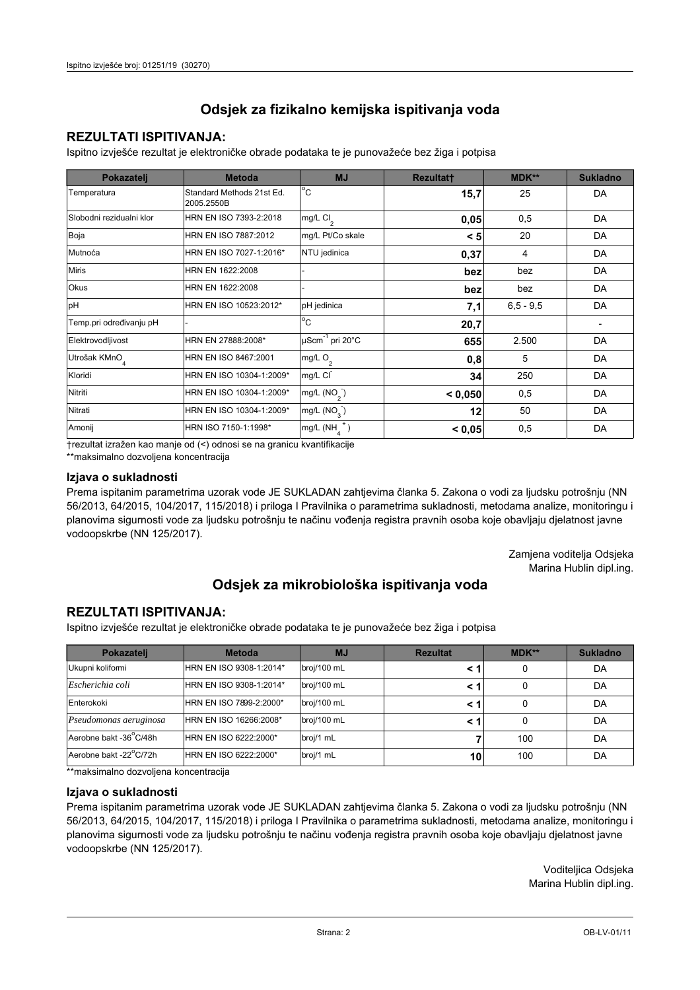## **REZULTATI ISPITIVANJA:**

Ispitno izviešće rezultat je elektroničke obrade podataka te je punovažeće bez žiga i potpisa

| Pokazatelj                | <b>Metoda</b>                           | <b>MJ</b>               | <b>Rezultatt</b> | <b>MDK**</b>  | <b>Sukladno</b> |
|---------------------------|-----------------------------------------|-------------------------|------------------|---------------|-----------------|
| Temperatura               | Standard Methods 21st Ed.<br>2005.2550B | $^{\circ}$ C            | 15,7             | 25            | DA              |
| Slobodni rezidualni klor  | HRN EN ISO 7393-2:2018                  | $mg/L$ Cl <sub>2</sub>  | 0,05             | 0,5           | DA              |
| Boja                      | HRN EN ISO 7887:2012                    | mg/L Pt/Co skale        | < 5              | 20            | DA              |
| Mutnoća                   | HRN EN ISO 7027-1:2016*                 | NTU jedinica            | 0,37             | 4             | DA              |
| <b>Miris</b>              | HRN EN 1622:2008                        |                         | bez              | bez           | DA              |
| Okus                      | HRN EN 1622:2008                        |                         | bez              | bez           | DA              |
| pH                        | HRN EN ISO 10523:2012*                  | pH jedinica             | 7,1              | $6, 5 - 9, 5$ | DA              |
| Temp.pri određivanju pH   |                                         | $^{\circ}$ C            | 20,7             |               |                 |
| Elektrovodljivost         | HRN EN 27888:2008*                      | µScm-1 pri 20°C         | 655              | 2.500         | DA              |
| Utrošak KMnO <sub>4</sub> | HRN EN ISO 8467:2001                    | mg/L O <sub>2</sub>     | 0,8              | 5             | DA              |
| Kloridi                   | HRN EN ISO 10304-1:2009*                | mg/L CI                 | 34               | 250           | DA              |
| Nitriti                   | HRN EN ISO 10304-1:2009*                | mg/L $(NO2)$            | < 0.050          | 0,5           | DA              |
| Nitrati                   | HRN EN ISO 10304-1:2009*                | mg/L (NO <sub>3</sub> ) | 12               | 50            | DA              |
| Amonij                    | HRN ISO 7150-1:1998*                    | mg/L (NH                | < 0.05           | 0,5           | DA              |

trezultat izražen kao manje od (<) odnosi se na granicu kvantifikacije

\*\*maksimalno dozvoljena koncentracija

#### Izjava o sukladnosti

Prema ispitanim parametrima uzorak vode JE SUKLADAN zahtievima članka 5. Zakona o vodi za ljudsku potrošnju (NN 56/2013, 64/2015, 104/2017, 115/2018) i priloga I Pravilnika o parametrima sukladnosti, metodama analize, monitoringu i planovima sigurnosti vode za ljudsku potrošnju te načinu vođenja registra pravnih osoba koje obavljaju djelatnost javne vodoopskrbe (NN 125/2017).

> Zamjena voditelja Odsjeka Marina Hublin dipl.ing.

## Odsjek za mikrobiološka ispitivanja voda

## **REZULTATI ISPITIVANJA:**

Ispitno izvješće rezultat je elektroničke obrade podataka te je punovažeće bez žiga i potpisa

| Pokazatelj             | <b>Metoda</b>           | <b>MJ</b>   | <b>Rezultat</b> | $MDK**$ | <b>Sukladno</b> |
|------------------------|-------------------------|-------------|-----------------|---------|-----------------|
| Ukupni kolifomi        | HRN EN ISO 9308-1:2014* | broj/100 mL |                 | 0       | DA              |
| Escherichia coli       | HRN EN ISO 9308-1:2014* | broj/100 mL |                 | 0       | DA              |
| Enterokoki             | HRN EN ISO 7899-2:2000* | broj/100 mL |                 | 0       | DA              |
| Pseudomonas aeruginosa | HRN EN ISO 16266:2008*  | broj/100 mL | < 1             | 0       | DA              |
| Aerobne bakt -36 C/48h | HRN EN ISO 6222:2000*   | broj/1 mL   |                 | 100     | DA              |
| Aerobne bakt -22°C/72h | HRN EN ISO 6222:2000*   | broj/1 mL   | 10              | 100     | DA              |

\*\*maksimalno dozvoljena koncentracija

#### Izjava o sukladnosti

Prema ispitanim parametrima uzorak vode JE SUKLADAN zahtjevima članka 5. Zakona o vodi za ljudsku potrošnju (NN 56/2013, 64/2015, 104/2017, 115/2018) i priloga I Pravilnika o parametrima sukladnosti, metodama analize, monitoringu i planovima sigurnosti vode za ljudsku potrošnju te načinu vođenja registra pravnih osoba koje obavljaju djelatnost javne vodoopskrbe (NN 125/2017).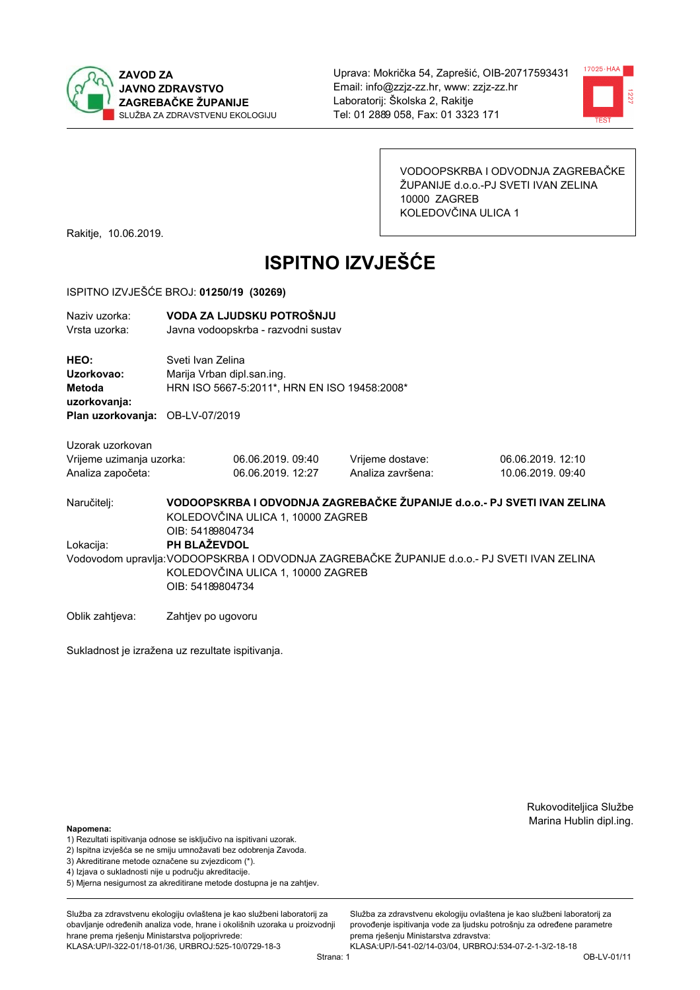



VODOOPSKRBA I ODVODNJA ZAGREBAČKE ŽUPANIJE d.o.o.-PJ SVETI IVAN ZELINA 10000 ZAGREB KOLEDOVČINA ULICA 1

Rakitje, 10.06.2019.

# **ISPITNO IZVJEŠĆE**

#### ISPITNO IZVJEŠĆE BROJ: 01250/19 (30269)

| Naziv uzorka:<br>Vrsta uzorka:                                    |                                                                                                                                  | VODA ZA LJUDSKU POTROŠNJU<br>Javna vodoopskrba - razvodni sustav                                |                                                                                             |                                        |  |  |
|-------------------------------------------------------------------|----------------------------------------------------------------------------------------------------------------------------------|-------------------------------------------------------------------------------------------------|---------------------------------------------------------------------------------------------|----------------------------------------|--|--|
| HEO:<br>Uzorkovao:<br><b>Metoda</b><br>uzorkovanja:               |                                                                                                                                  | Sveti Ivan Zelina<br>Marija Vrban dipl.san.ing.<br>HRN ISO 5667-5:2011*, HRN EN ISO 19458:2008* |                                                                                             |                                        |  |  |
| Plan uzorkovanja:                                                 | OB-LV-07/2019                                                                                                                    |                                                                                                 |                                                                                             |                                        |  |  |
| Uzorak uzorkovan<br>Vrijeme uzimanja uzorka:<br>Analiza započeta: |                                                                                                                                  | 06.06.2019.09:40<br>06.06.2019. 12:27                                                           | Vrijeme dostave:<br>Analiza završena:                                                       | 06.06.2019. 12:10<br>10.06.2019, 09:40 |  |  |
| Naručitelj:                                                       | VODOOPSKRBA I ODVODNJA ZAGREBAČKE ŽUPANIJE d.o.o.- PJ SVETI IVAN ZELINA<br>KOLEDOVČINA ULICA 1, 10000 ZAGREB<br>OIB: 54189804734 |                                                                                                 |                                                                                             |                                        |  |  |
| Lokacija:                                                         | PH BLAŽEVDOL<br>OIB: 54189804734                                                                                                 | KOLEDOVČINA ULICA 1, 10000 ZAGREB                                                               | Vodovodom upravlja: VODOOPSKRBA I ODVODNJA ZAGREBAČKE ŽUPANIJE d.o.o.- PJ SVETI IVAN ZELINA |                                        |  |  |

Sukladnost je izražena uz rezultate ispitivanja.

Zahtjev po ugovoru

Rukovoditeljica Službe Marina Hublin dipl.ing.

#### Napomena:

Oblik zahtjeva:

- 1) Rezultati ispitivanja odnose se isključivo na ispitivani uzorak.
- 2) Ispitna izvješća se ne smiju umnožavati bez odobrenja Zavoda.
- 3) Akreditirane metode označene su zvjezdicom (\*).
- 4) Iziava o sukladnosti nije u području akreditacije.
- 5) Mjerna nesigurnost za akreditirane metode dostupna je na zahtjev.

Služba za zdravstvenu ekologiju ovlaštena je kao službeni laboratorij za obavlianie određenih analiza vode, hrane i okolišnih uzoraka u proizvodniji hrane prema rješenju Ministarstva poljoprivrede: KLASA:UP/I-322-01/18-01/36, URBROJ:525-10/0729-18-3

Služba za zdravstvenu ekologiju ovlaštena je kao službeni laboratorij za provođenie ispitivania vode za liudsku potrošniu za određene parametre prema rješenju Ministarstva zdravstva: KLASA:UP/I-541-02/14-03/04, URBROJ:534-07-2-1-3/2-18-18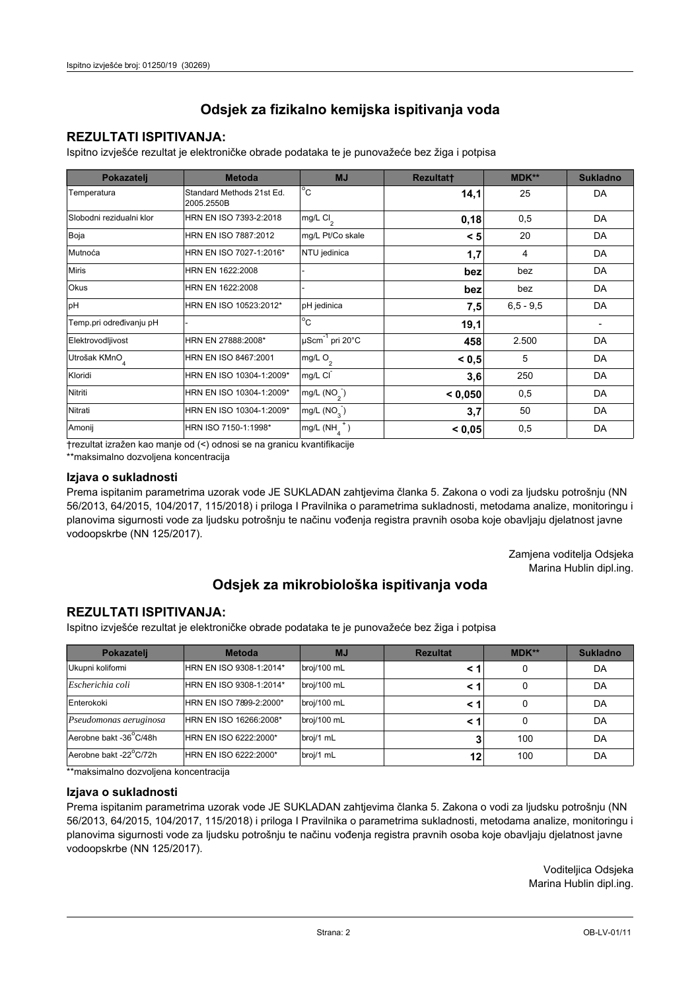## **REZULTATI ISPITIVANJA:**

Ispitno izviešće rezultat je elektroničke obrade podataka te je punovažeće bez žiga i potpisa

| Pokazatelj                | <b>Metoda</b>                           | <b>MJ</b>                   | <b>Rezultatt</b> | <b>MDK**</b>  | <b>Sukladno</b> |
|---------------------------|-----------------------------------------|-----------------------------|------------------|---------------|-----------------|
| Temperatura               | Standard Methods 21st Ed.<br>2005.2550B | $^{\circ}$ C                | 14,1             | 25            | DA              |
| Slobodni rezidualni klor  | HRN EN ISO 7393-2:2018                  | mg/L Cl <sub>2</sub>        | 0,18             | 0,5           | DA              |
| Boja                      | HRN EN ISO 7887:2012                    | mg/L Pt/Co skale            | < 5              | 20            | DA              |
| Mutnoća                   | HRN EN ISO 7027-1:2016*                 | NTU jedinica                | 1,7              | 4             | DA              |
| <b>Miris</b>              | HRN EN 1622:2008                        |                             | bez              | bez           | DA              |
| <b>Okus</b>               | HRN EN 1622:2008                        |                             | bez              | bez           | DA              |
| pH                        | HRN EN ISO 10523:2012*                  | pH jedinica                 | 7,5              | $6, 5 - 9, 5$ | DA              |
| Temp.pri određivanju pH   |                                         | $\overline{C}$              | 19,1             |               |                 |
| Elektrovodljivost         | HRN EN 27888:2008*                      | µScm <sup>-1</sup> pri 20°C | 458              | 2.500         | DA              |
| Utrošak KMnO <sub>4</sub> | HRN EN ISO 8467:2001                    | mg/L O <sub>2</sub>         | < 0, 5           | 5             | DA              |
| Kloridi                   | HRN EN ISO 10304-1:2009*                | mg/L CI                     | 3,6              | 250           | DA              |
| Nitriti                   | HRN EN ISO 10304-1:2009*                | mg/L $(NO2)$                | < 0,050          | 0,5           | DA              |
| Nitrati                   | HRN EN ISO 10304-1:2009*                | mg/L (NO <sub>3</sub> )     | 3,7              | 50            | DA              |
| Amonij                    | HRN ISO 7150-1:1998*                    | mg/L (NH                    | < 0,05           | 0,5           | DA              |

trezultat izražen kao manje od (<) odnosi se na granicu kvantifikacije

\*\*maksimalno dozvoljena koncentracija

#### Izjava o sukladnosti

Prema ispitanim parametrima uzorak vode JE SUKLADAN zahtievima članka 5. Zakona o vodi za ljudsku potrošnju (NN 56/2013, 64/2015, 104/2017, 115/2018) i priloga I Pravilnika o parametrima sukladnosti, metodama analize, monitoringu i planovima sigurnosti vode za ljudsku potrošnju te načinu vođenja registra pravnih osoba koje obavljaju djelatnost javne vodoopskrbe (NN 125/2017).

> Zamjena voditelja Odsjeka Marina Hublin dipl.ing.

## Odsjek za mikrobiološka ispitivanja voda

## **REZULTATI ISPITIVANJA:**

Ispitno izvješće rezultat je elektroničke obrade podataka te je punovažeće bez žiga i potpisa

| Pokazatelj             | <b>Metoda</b>           | <b>MJ</b>   | <b>Rezultat</b> | $MDK**$ | <b>Sukladno</b> |
|------------------------|-------------------------|-------------|-----------------|---------|-----------------|
| Ukupni kolifomi        | HRN EN ISO 9308-1:2014* | broj/100 mL |                 | 0       | DA              |
| Escherichia coli       | HRN EN ISO 9308-1:2014* | broj/100 mL |                 | 0       | DA              |
| Enterokoki             | HRN EN ISO 7899-2:2000* | broj/100 mL |                 | 0       | DA              |
| Pseudomonas aeruginosa | HRN EN ISO 16266:2008*  | broj/100 mL | < 1             | 0       | DA              |
| Aerobne bakt -36 C/48h | HRN EN ISO 6222:2000*   | broj/1 mL   |                 | 100     | DA              |
| Aerobne bakt -22°C/72h | HRN EN ISO 6222:2000*   | broj/1 mL   | 12              | 100     | DA              |

\*\*maksimalno dozvoljena koncentracija

#### Izjava o sukladnosti

Prema ispitanim parametrima uzorak vode JE SUKLADAN zahtjevima članka 5. Zakona o vodi za ljudsku potrošnju (NN 56/2013, 64/2015, 104/2017, 115/2018) i priloga I Pravilnika o parametrima sukladnosti, metodama analize, monitoringu i planovima sigurnosti vode za ljudsku potrošnju te načinu vođenja registra pravnih osoba koje obavljaju djelatnost javne vodoopskrbe (NN 125/2017).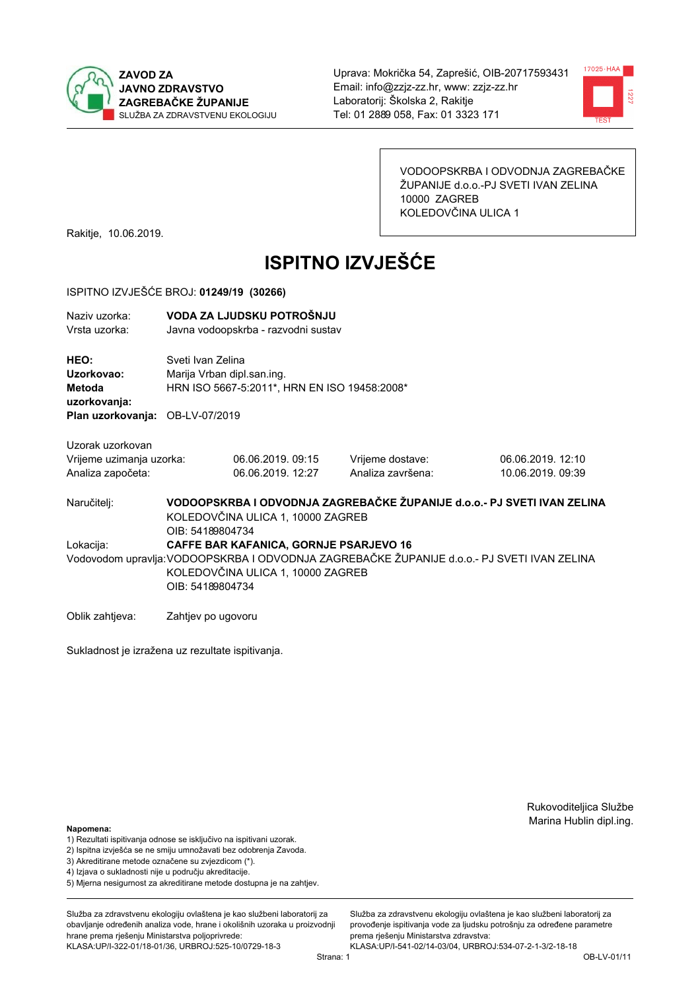



VODOOPSKRBA I ODVODNJA ZAGREBAČKE ŽUPANIJE d.o.o.-PJ SVETI IVAN ZELINA 10000 ZAGREB KOLEDOVČINA ULICA 1

Rakitje, 10.06.2019.

# **ISPITNO IZVJEŠĆE**

#### ISPITNO IZVJEŠĆE BROJ: 01249/19 (30266)

| Naziv uzorka:<br>Vrsta uzorka:                                                  |                    | VODA ZA LJUDSKU POTROŠNJU<br>Javna vodoopskrba - razvodni sustav                                |                   |                                                                                             |  |  |
|---------------------------------------------------------------------------------|--------------------|-------------------------------------------------------------------------------------------------|-------------------|---------------------------------------------------------------------------------------------|--|--|
| HEO:<br>Uzorkovao:<br>Metoda<br>uzorkovanja:<br>Plan uzorkovanja: OB-LV-07/2019 |                    | Sveti Ivan Zelina<br>Marija Vrban dipl.san.ing.<br>HRN ISO 5667-5:2011*, HRN EN ISO 19458:2008* |                   |                                                                                             |  |  |
|                                                                                 |                    |                                                                                                 |                   |                                                                                             |  |  |
| Uzorak uzorkovan                                                                |                    |                                                                                                 |                   |                                                                                             |  |  |
| Vrijeme uzimanja uzorka:                                                        |                    | 06.06.2019.09:15                                                                                | Vrijeme dostave:  | 06.06.2019. 12:10                                                                           |  |  |
| Analiza započeta:                                                               |                    | 06.06.2019. 12:27                                                                               | Analiza završena: | 10.06.2019. 09:39                                                                           |  |  |
| Naručitelj:                                                                     | OIB: 54189804734   | KOLEDOVČINA ULICA 1, 10000 ZAGREB                                                               |                   | VODOOPSKRBA I ODVODNJA ZAGREBAČKE ŽUPANIJE d.o.o.- PJ SVETI IVAN ZELINA                     |  |  |
| Lokacija:                                                                       |                    | <b>CAFFE BAR KAFANICA, GORNJE PSARJEVO 16</b>                                                   |                   |                                                                                             |  |  |
|                                                                                 | OIB: 54189804734   | KOLEDOVČINA ULICA 1, 10000 ZAGREB                                                               |                   | Vodovodom upravlja: VODOOPSKRBA I ODVODNJA ZAGREBAČKE ŽUPANIJE d.o.o.- PJ SVETI IVAN ZELINA |  |  |
| Oblik zahtjeva:                                                                 | Zahtjev po ugovoru |                                                                                                 |                   |                                                                                             |  |  |

Sukladnost je izražena uz rezultate ispitivanja.

Rukovoditeljica Službe Marina Hublin dipl.ing.

#### Napomena:

- 1) Rezultati ispitivanja odnose se isključivo na ispitivani uzorak.
- 2) Ispitna izvješća se ne smiju umnožavati bez odobrenja Zavoda.
- 3) Akreditirane metode označene su zvjezdicom (\*).
- 4) Iziava o sukladnosti nije u područiu akreditacije.
- 5) Mjerna nesigurnost za akreditirane metode dostupna je na zahtjev.

Služba za zdravstvenu ekologiju ovlaštena je kao službeni laboratorij za obavljanje određenih analiza vode, hrane i okolišnih uzoraka u proizvodniji hrane prema rješenju Ministarstva poljoprivrede: KLASA:UP/I-322-01/18-01/36, URBROJ:525-10/0729-18-3

Služba za zdravstvenu ekologiju ovlaštena je kao službeni laboratorij za provođenie ispitivania vode za liudsku potrošniu za određene parametre prema rješenju Ministarstva zdravstva: KLASA:UP/I-541-02/14-03/04, URBROJ:534-07-2-1-3/2-18-18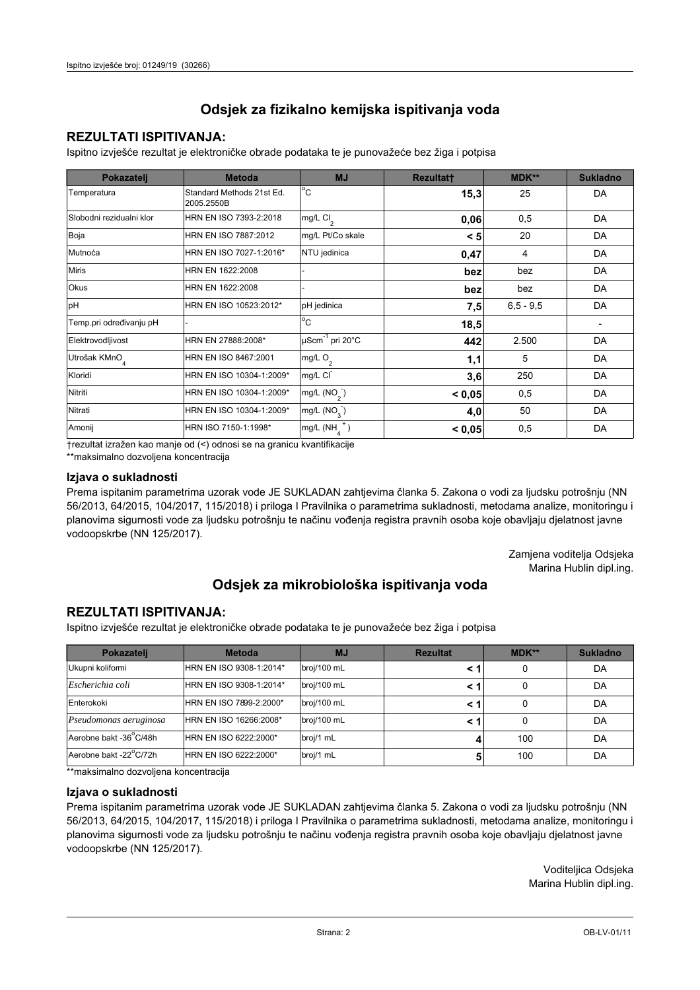## **REZULTATI ISPITIVANJA:**

Ispitno izviešće rezultat je elektroničke obrade podataka te je punovažeće bez žiga i potpisa

| Pokazatelj                | <b>Metoda</b>                           | <b>MJ</b>               | <b>Rezultatt</b> | <b>MDK**</b>  | <b>Sukladno</b> |
|---------------------------|-----------------------------------------|-------------------------|------------------|---------------|-----------------|
| Temperatura               | Standard Methods 21st Ed.<br>2005.2550B | $^{\circ}$ C            | 15,3             | 25            | DA              |
| Slobodni rezidualni klor  | HRN EN ISO 7393-2:2018                  | $mg/L$ Cl <sub>2</sub>  | 0,06             | 0,5           | DA              |
| Boja                      | HRN EN ISO 7887:2012                    | mg/L Pt/Co skale        | < 5              | 20            | DA              |
| Mutnoća                   | HRN EN ISO 7027-1:2016*                 | NTU jedinica            | 0,47             | 4             | DA              |
| <b>Miris</b>              | HRN EN 1622:2008                        |                         | bez              | bez           | DA              |
| Okus                      | HRN EN 1622:2008                        |                         | bez              | bez           | DA              |
| pH                        | HRN EN ISO 10523:2012*                  | pH jedinica             | 7,5              | $6, 5 - 9, 5$ | DA              |
| Temp.pri određivanju pH   |                                         | $^{\circ}$ C            | 18,5             |               |                 |
| Elektrovodljivost         | HRN EN 27888:2008*                      | µScm-1 pri 20°C         | 442              | 2.500         | DA              |
| Utrošak KMnO <sub>4</sub> | HRN EN ISO 8467:2001                    | mg/L O <sub>2</sub>     | 1,1              | 5             | DA              |
| Kloridi                   | HRN EN ISO 10304-1:2009*                | mg/L CI                 | 3,6              | 250           | DA              |
| Nitriti                   | HRN EN ISO 10304-1:2009*                | mg/L $(NO2)$            | < 0,05           | 0,5           | DA              |
| Nitrati                   | HRN EN ISO 10304-1:2009*                | mg/L (NO <sub>3</sub> ) | 4,0              | 50            | DA              |
| Amonij                    | HRN ISO 7150-1:1998*                    | mg/L (NH                | < 0,05           | 0,5           | DA              |

trezultat izražen kao manje od (<) odnosi se na granicu kvantifikacije

\*\*maksimalno dozvoljena koncentracija

#### Izjava o sukladnosti

Prema ispitanim parametrima uzorak vode JE SUKLADAN zahtievima članka 5. Zakona o vodi za ljudsku potrošnju (NN 56/2013, 64/2015, 104/2017, 115/2018) i priloga I Pravilnika o parametrima sukladnosti, metodama analize, monitoringu i planovima sigurnosti vode za ljudsku potrošnju te načinu vođenja registra pravnih osoba koje obavljaju djelatnost javne vodoopskrbe (NN 125/2017).

> Zamjena voditelja Odsjeka Marina Hublin dipl.ing.

## Odsjek za mikrobiološka ispitivanja voda

## **REZULTATI ISPITIVANJA:**

Ispitno izvješće rezultat je elektroničke obrade podataka te je punovažeće bez žiga i potpisa

| Pokazatelj             | <b>Metoda</b>           | <b>MJ</b>   | <b>Rezultat</b> | $MDK**$ | <b>Sukladno</b> |
|------------------------|-------------------------|-------------|-----------------|---------|-----------------|
| Ukupni kolifomi        | HRN EN ISO 9308-1:2014* | broj/100 mL |                 | 0       | DA              |
| Escherichia coli       | HRN EN ISO 9308-1:2014* | broj/100 mL |                 | 0       | DA              |
| Enterokoki             | HRN EN ISO 7899-2:2000* | broj/100 mL |                 | 0       | DA              |
| Pseudomonas aeruginosa | HRN EN ISO 16266:2008*  | broj/100 mL | < 1             | 0       | DA              |
| Aerobne bakt -36 C/48h | HRN EN ISO 6222:2000*   | broj/1 mL   |                 | 100     | DA              |
| Aerobne bakt -22°C/72h | HRN EN ISO 6222:2000*   | broj/1 mL   |                 | 100     | DA              |

\*\*maksimalno dozvoljena koncentracija

#### Izjava o sukladnosti

Prema ispitanim parametrima uzorak vode JE SUKLADAN zahtjevima članka 5. Zakona o vodi za ljudsku potrošnju (NN 56/2013, 64/2015, 104/2017, 115/2018) i priloga I Pravilnika o parametrima sukladnosti, metodama analize, monitoringu i planovima sigurnosti vode za ljudsku potrošnju te načinu vođenja registra pravnih osoba koje obavljaju djelatnost javne vodoopskrbe (NN 125/2017).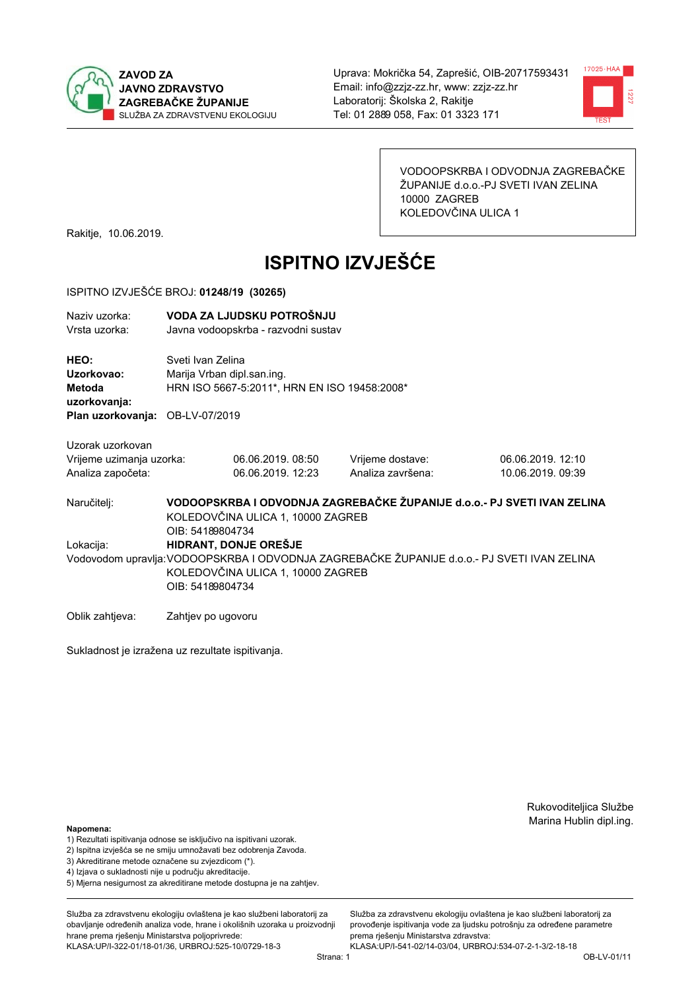



VODOOPSKRBA I ODVODNJA ZAGREBAČKE ŽUPANIJE d.o.o.-PJ SVETI IVAN ZELINA 10000 ZAGREB KOLEDOVČINA ULICA 1

Rakitje, 10.06.2019.

# **ISPITNO IZVJEŠĆE**

#### ISPITNO IZVJEŠĆE BROJ: 01248/19 (30265)

| Naziy uzorka:<br>Vrsta uzorka:                      | VODA ZA LJUDSKU POTROŠNJU<br>Javna vodoopskrba - razvodni sustav                                                                                     |                   |                   |                   |  |  |  |
|-----------------------------------------------------|------------------------------------------------------------------------------------------------------------------------------------------------------|-------------------|-------------------|-------------------|--|--|--|
| HEO:<br>Uzorkovao:<br><b>Metoda</b><br>uzorkovanja: | Sveti Ivan Zelina<br>Marija Vrban dipl.san.ing.<br>HRN ISO 5667-5:2011*, HRN EN ISO 19458:2008*                                                      |                   |                   |                   |  |  |  |
| Plan uzorkovanja: OB-LV-07/2019                     |                                                                                                                                                      |                   |                   |                   |  |  |  |
| Uzorak uzorkovan<br>Vrijeme uzimanja uzorka:        |                                                                                                                                                      | 06.06.2019, 08:50 | Vrijeme dostave:  | 06.06.2019. 12:10 |  |  |  |
| Analiza započeta:                                   |                                                                                                                                                      | 06.06.2019. 12:23 | Analiza završena: | 10.06.2019. 09:39 |  |  |  |
| Naručitelj:                                         | VODOOPSKRBA I ODVODNJA ZAGREBAČKE ŽUPANIJE d.o.o.- PJ SVETI IVAN ZELINA<br>KOLEDOVČINA ULICA 1, 10000 ZAGREB<br>OIB: 54189804734                     |                   |                   |                   |  |  |  |
| Lokacija:                                           | HIDRANT, DONJE OREŠJE                                                                                                                                |                   |                   |                   |  |  |  |
|                                                     | Vodovodom upravlja: VODOOPSKRBA I ODVODNJA ZAGREBAČKE ŽUPANIJE d.o.o.- PJ SVETI IVAN ZELINA<br>KOLEDOVČINA ULICA 1, 10000 ZAGREB<br>OIB: 54189804734 |                   |                   |                   |  |  |  |
| Oblik zahtjeva:                                     | Zahtjev po ugovoru                                                                                                                                   |                   |                   |                   |  |  |  |

Sukladnost je izražena uz rezultate ispitivanja.

Rukovoditeljica Službe Marina Hublin dipl.ing.

Služba za zdravstvenu ekologiju ovlaštena je kao službeni laboratorij za provođenie ispitivania vode za liudsku potrošniu za određene parametre

prema rješenju Ministarstva zdravstva:

#### Napomena:

- 1) Rezultati ispitivanja odnose se isključivo na ispitivani uzorak.
- 2) Ispitna izvješća se ne smiju umnožavati bez odobrenja Zavoda.
- 3) Akreditirane metode označene su zvjezdicom (\*).
- 4) Iziava o sukladnosti nije u području akreditacije.
- 5) Mjerna nesigurnost za akreditirane metode dostupna je na zahtjev.

Služba za zdravstvenu ekologiju ovlaštena je kao službeni laboratorij za obavlianie određenih analiza vode, hrane i okolišnih uzoraka u proizvodniji hrane prema rješenju Ministarstva poljoprivrede: KLASA:UP/I-322-01/18-01/36, URBROJ:525-10/0729-18-3

KLASA:UP/I-541-02/14-03/04, URBROJ:534-07-2-1-3/2-18-18

OB-LV-01/11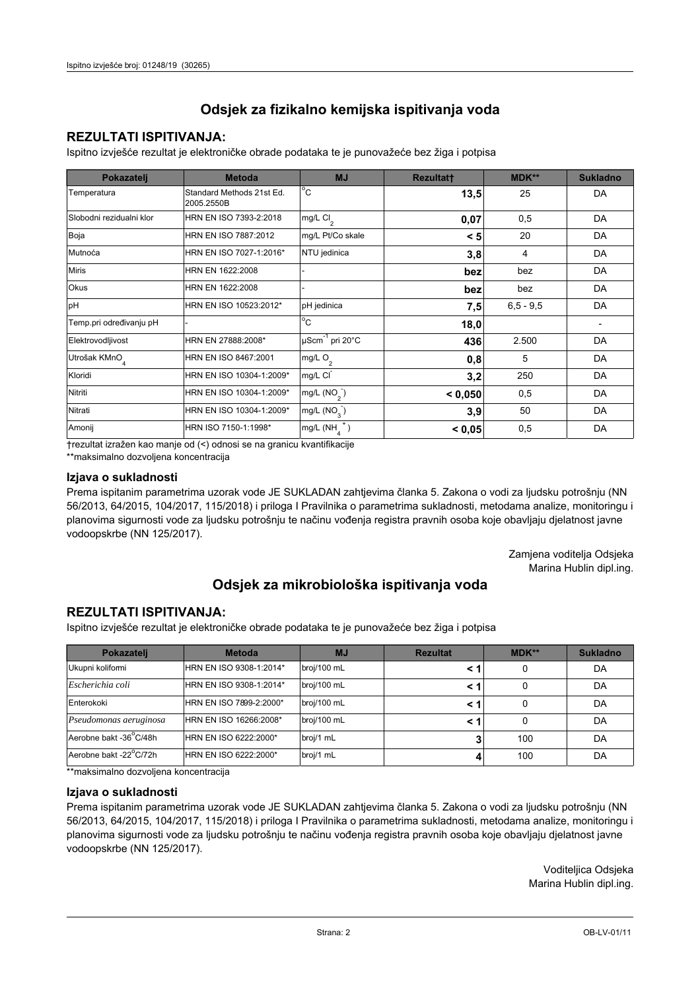## **REZULTATI ISPITIVANJA:**

Ispitno izviešće rezultat je elektroničke obrade podataka te je punovažeće bez žiga i potpisa

| Pokazatelj                | <b>Metoda</b>                           | <b>MJ</b>               | <b>Rezultatt</b> | <b>MDK**</b>  | <b>Sukladno</b> |
|---------------------------|-----------------------------------------|-------------------------|------------------|---------------|-----------------|
| Temperatura               | Standard Methods 21st Ed.<br>2005.2550B | $^{\circ}$ C            | 13,5             | 25            | DA              |
| Slobodni rezidualni klor  | HRN EN ISO 7393-2:2018                  | mg/L $Cl2$              | 0,07             | 0,5           | DA              |
| Boja                      | HRN EN ISO 7887:2012                    | mg/L Pt/Co skale        | < 5              | 20            | DA              |
| Mutnoća                   | HRN EN ISO 7027-1:2016*                 | NTU jedinica            | 3,8              | 4             | DA              |
| <b>Miris</b>              | HRN EN 1622:2008                        |                         | bez              | bez           | DA              |
| <b>Okus</b>               | HRN EN 1622:2008                        |                         | bez              | bez           | DA              |
| pH                        | HRN EN ISO 10523:2012*                  | pH jedinica             | 7,5              | $6, 5 - 9, 5$ | DA              |
| Temp.pri određivanju pH   |                                         | $^{\circ}$ C            | 18,0             |               |                 |
| Elektrovodljivost         | HRN EN 27888:2008*                      | µScm-1 pri 20°C         | 436              | 2.500         | DA              |
| Utrošak KMnO <sub>4</sub> | HRN EN ISO 8467:2001                    | mg/L $O_2$              | 0,8              | 5             | DA              |
| Kloridi                   | HRN EN ISO 10304-1:2009*                | mg/L CI                 | 3,2              | 250           | DA              |
| Nitriti                   | HRN EN ISO 10304-1:2009*                | mg/L $(NO2)$            | < 0,050          | 0,5           | DA              |
| Nitrati                   | HRN EN ISO 10304-1:2009*                | mg/L (NO <sub>3</sub> ) | 3,9              | 50            | DA              |
| Amonij                    | HRN ISO 7150-1:1998*                    | mg/L (NH                | < 0,05           | 0,5           | DA              |

trezultat izražen kao manje od (<) odnosi se na granicu kvantifikacije

\*\*maksimalno dozvoljena koncentracija

#### Izjava o sukladnosti

Prema ispitanim parametrima uzorak vode JE SUKLADAN zahtievima članka 5. Zakona o vodi za ljudsku potrošnju (NN 56/2013, 64/2015, 104/2017, 115/2018) i priloga I Pravilnika o parametrima sukladnosti, metodama analize, monitoringu i planovima sigurnosti vode za ljudsku potrošnju te načinu vođenja registra pravnih osoba koje obavljaju djelatnost javne vodoopskrbe (NN 125/2017).

> Zamjena voditelja Odsjeka Marina Hublin dipl.ing.

## Odsjek za mikrobiološka ispitivanja voda

## **REZULTATI ISPITIVANJA:**

Ispitno izvješće rezultat je elektroničke obrade podataka te je punovažeće bez žiga i potpisa

| Pokazatelj             | <b>Rezultat</b><br><b>Metoda</b><br><b>MJ</b> |             | $MDK**$ | <b>Sukladno</b> |    |
|------------------------|-----------------------------------------------|-------------|---------|-----------------|----|
| Ukupni kolifomi        | HRN EN ISO 9308-1:2014*                       | broj/100 mL |         | 0               | DA |
| Escherichia coli       | HRN EN ISO 9308-1:2014*                       | broj/100 mL |         | 0               | DA |
| Enterokoki             | HRN EN ISO 7899-2:2000*                       | broj/100 mL |         | 0               | DA |
| Pseudomonas aeruginosa | HRN EN ISO 16266:2008*                        | broj/100 mL | < 1     | 0               | DA |
| Aerobne bakt -36 C/48h | HRN EN ISO 6222:2000*                         | broj/1 mL   |         | 100             | DA |
| Aerobne bakt -22°C/72h | HRN EN ISO 6222:2000*                         | broj/1 mL   |         | 100             | DA |

\*\*maksimalno dozvoljena koncentracija

#### Izjava o sukladnosti

Prema ispitanim parametrima uzorak vode JE SUKLADAN zahtjevima članka 5. Zakona o vodi za ljudsku potrošnju (NN 56/2013, 64/2015, 104/2017, 115/2018) i priloga I Pravilnika o parametrima sukladnosti, metodama analize, monitoringu i planovima sigurnosti vode za ljudsku potrošnju te načinu vođenja registra pravnih osoba koje obavljaju djelatnost javne vodoopskrbe (NN 125/2017).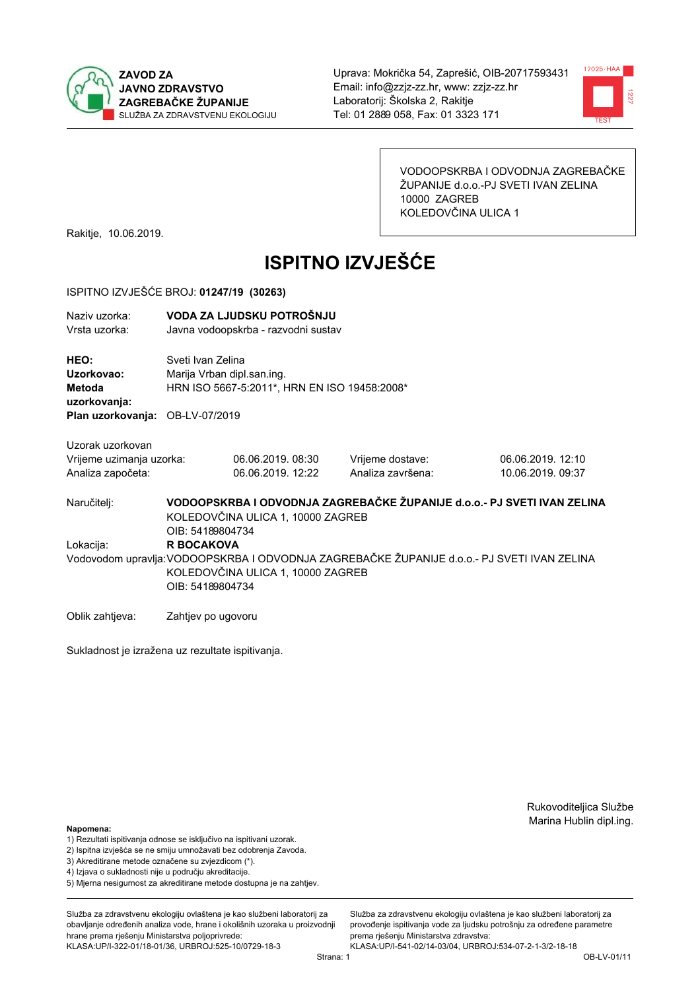



VODOOPSKRBA I ODVODNJA ZAGREBAČKE ŽUPANIJE d.o.o.-PJ SVETI IVAN ZELINA 10000 ZAGREB KOLEDOVČINA ULICA 1

Rakitje, 10.06.2019.

# **ISPITNO IZVJEŠĆE**

#### ISPITNO IZVJEŠĆE BROJ: 01247/19 (30263)

| Naziy uzorka:<br>Vrsta uzorka:                                    | VODA ZA LJUDSKU POTROŠNJU<br>Javna vodoopskrba - razvodni sustav                                |                                                                        |                                                                                                                                                                        |                                        |  |  |
|-------------------------------------------------------------------|-------------------------------------------------------------------------------------------------|------------------------------------------------------------------------|------------------------------------------------------------------------------------------------------------------------------------------------------------------------|----------------------------------------|--|--|
| HEO:<br>Uzorkovao:<br><b>Metoda</b><br>uzorkovanja:               | Sveti Ivan Zelina<br>Marija Vrban dipl.san.ing.<br>HRN ISO 5667-5:2011*, HRN EN ISO 19458:2008* |                                                                        |                                                                                                                                                                        |                                        |  |  |
| Plan uzorkovanja: OB-LV-07/2019                                   |                                                                                                 |                                                                        |                                                                                                                                                                        |                                        |  |  |
| Uzorak uzorkovan<br>Vrijeme uzimanja uzorka:<br>Analiza započeta: |                                                                                                 | 06.06.2019.08:30<br>06.06.2019.12:22                                   | Vrijeme dostave:<br>Analiza završena:                                                                                                                                  | 06.06.2019. 12:10<br>10.06.2019. 09:37 |  |  |
| Naručitelj:<br>Lokacija:                                          | OIB: 54189804734<br><b>R BOCAKOVA</b><br>OIB: 54189804734                                       | KOLEDOVČINA ULICA 1, 10000 ZAGREB<br>KOLEDOVČINA ULICA 1, 10000 ZAGREB | VODOOPSKRBA I ODVODNJA ZAGREBAČKE ŽUPANIJE d.o.o.- PJ SVETI IVAN ZELINA<br>Vodovodom upravlja: VODOOPSKRBA I ODVODNJA ZAGREBAČKE ŽUPANIJE d.o.o.- PJ SVETI IVAN ZELINA |                                        |  |  |

Oblik zahtjeva: Zahtjev po ugovoru

Sukladnost je izražena uz rezultate ispitivanja.

Rukovoditeljica Službe Marina Hublin dipl.ing.

#### Napomena:

- 1) Rezultati ispitivanja odnose se isključivo na ispitivani uzorak.
- 2) Ispitna izvješća se ne smiju umnožavati bez odobrenja Zavoda.
- 3) Akreditirane metode označene su zvjezdicom (\*).
- 4) Iziava o sukladnosti nije u području akreditacije.
- 5) Mjerna nesigurnost za akreditirane metode dostupna je na zahtjev.

Služba za zdravstvenu ekologiju ovlaštena je kao službeni laboratorij za obavlianie određenih analiza vode, hrane i okolišnih uzoraka u proizvodniji hrane prema rješenju Ministarstva poljoprivrede: KLASA:UP/I-322-01/18-01/36, URBROJ:525-10/0729-18-3

Služba za zdravstvenu ekologiju ovlaštena je kao službeni laboratorij za provođenie ispitivania vode za liudsku potrošniu za određene parametre prema rješenju Ministarstva zdravstva: KLASA:UP/I-541-02/14-03/04, URBROJ:534-07-2-1-3/2-18-18

Strana: 1